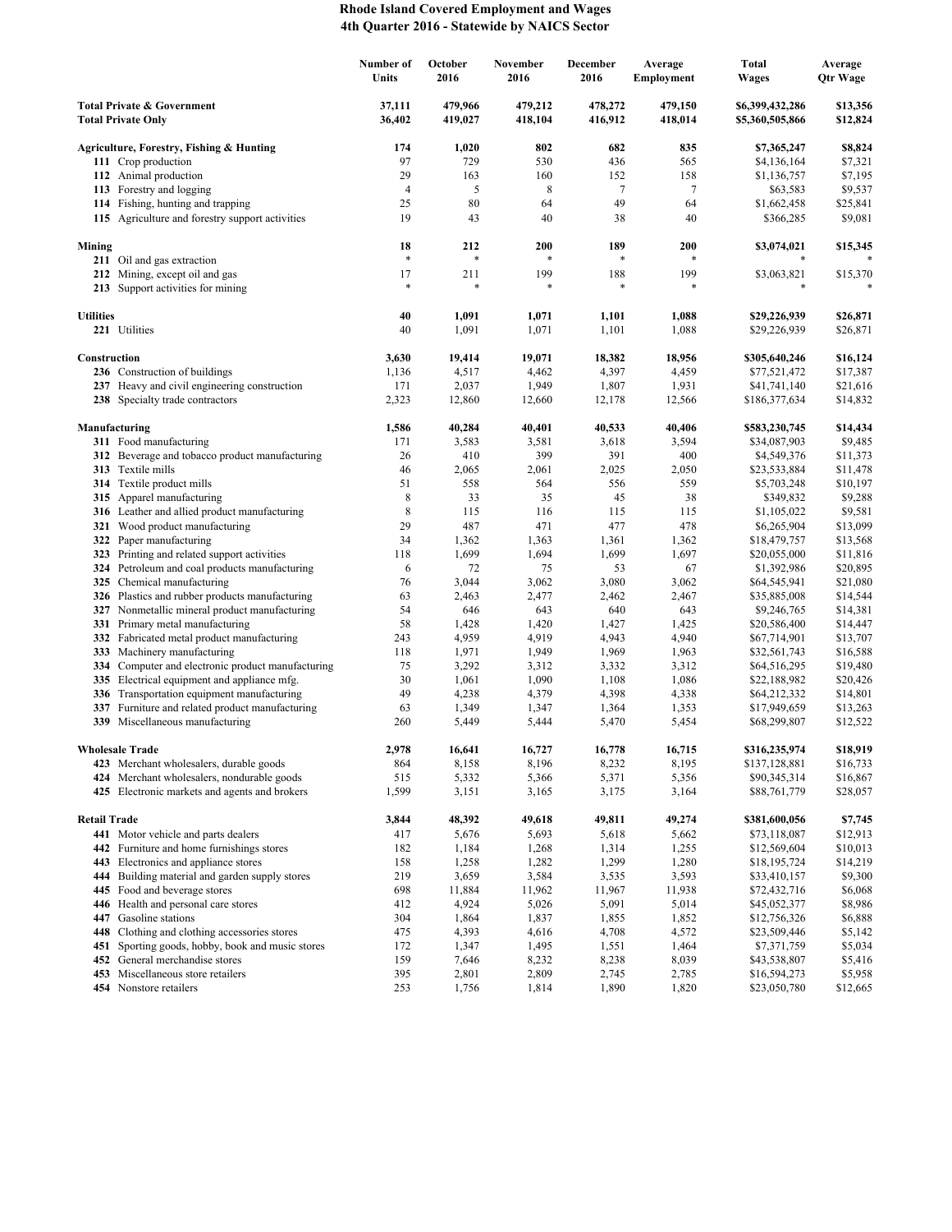## **Rhode Island Covered Employment and Wages 4th Quarter 2016 - Statewide by NAICS Sector**

|                                                                    |                                                                                             | Number of<br>Units | October<br>2016    | November<br>2016   | December<br>2016   | Average<br><b>Employment</b> | <b>Total</b><br><b>Wages</b>       | Average<br>Qtr Wage  |
|--------------------------------------------------------------------|---------------------------------------------------------------------------------------------|--------------------|--------------------|--------------------|--------------------|------------------------------|------------------------------------|----------------------|
| <b>Total Private &amp; Government</b><br><b>Total Private Only</b> |                                                                                             | 37,111<br>36,402   | 479,966<br>419,027 | 479,212<br>418,104 | 478,272<br>416,912 | 479,150<br>418,014           | \$6,399,432,286<br>\$5,360,505,866 | \$13,356<br>\$12,824 |
|                                                                    | Agriculture, Forestry, Fishing & Hunting                                                    | 174                | 1,020              | 802                | 682                | 835                          | \$7,365,247                        | \$8,824              |
|                                                                    | 111 Crop production                                                                         | 97                 | 729                | 530                | 436                | 565                          | \$4,136,164                        | \$7,321              |
|                                                                    | 112 Animal production                                                                       | 29                 | 163                | 160                | 152                | 158                          | \$1,136,757                        | \$7,195              |
|                                                                    | 113 Forestry and logging                                                                    | 4                  | 5                  | 8                  | 7                  | 7                            | \$63,583                           | \$9,537              |
|                                                                    | 114 Fishing, hunting and trapping                                                           | 25                 | 80                 | 64                 | 49                 | 64                           | \$1,662,458                        | \$25,841             |
|                                                                    | 115 Agriculture and forestry support activities                                             | 19                 | 43                 | 40                 | 38                 | 40                           | \$366,285                          | \$9,081              |
| Mining                                                             |                                                                                             | 18                 | 212                | 200                | 189                | 200                          | \$3,074,021                        | \$15,345             |
|                                                                    | 211 Oil and gas extraction                                                                  | $\ast$             | *                  |                    | $\ast$             |                              |                                    |                      |
|                                                                    | 212 Mining, except oil and gas<br>213 Support activities for mining                         | 17<br>$\ast$       | 211<br>$\ast$      | 199                | 188<br>$\ast$      | 199                          | \$3,063,821<br>*                   | \$15,370             |
| <b>Utilities</b>                                                   |                                                                                             | 40                 | 1,091              | 1,071              | 1,101              | 1,088                        | \$29,226,939                       | \$26,871             |
|                                                                    | 221 Utilities                                                                               | 40                 | 1,091              | 1,071              | 1,101              | 1,088                        | \$29,226,939                       | \$26,871             |
| Construction                                                       |                                                                                             | 3,630              | 19,414             | 19,071             | 18,382             | 18,956                       | \$305,640,246                      | \$16,124             |
|                                                                    | 236 Construction of buildings                                                               | 1,136              | 4,517              | 4,462              | 4,397              | 4,459                        | \$77,521,472                       | \$17,387             |
|                                                                    | 237 Heavy and civil engineering construction                                                | 171                | 2,037              | 1,949              | 1,807              | 1,931                        | \$41,741,140                       | \$21,616             |
|                                                                    | 238 Specialty trade contractors                                                             | 2,323              | 12,860             | 12,660             | 12,178             | 12,566                       | \$186,377,634                      | \$14,832             |
|                                                                    | Manufacturing                                                                               | 1,586              | 40,284             | 40,401             | 40,533             | 40,406                       | \$583,230,745                      | \$14,434             |
|                                                                    | 311 Food manufacturing                                                                      | 171                | 3,583              | 3,581              | 3,618              | 3,594                        | \$34,087,903                       | \$9,485              |
|                                                                    | 312 Beverage and tobacco product manufacturing                                              | 26                 | 410                | 399                | 391                | 400                          | \$4,549,376                        | \$11,373             |
|                                                                    | 313 Textile mills                                                                           | 46                 | 2,065              | 2,061              | 2,025              | 2,050                        | \$23,533,884                       | \$11,478             |
|                                                                    | 314 Textile product mills                                                                   | 51                 | 558                | 564                | 556                | 559                          | \$5,703,248                        | \$10,197             |
|                                                                    | 315 Apparel manufacturing<br>316 Leather and allied product manufacturing                   | 8<br>8             | 33<br>115          | 35<br>116          | 45<br>115          | 38<br>115                    | \$349,832<br>\$1,105,022           | \$9,288<br>\$9,581   |
|                                                                    | 321 Wood product manufacturing                                                              | 29                 | 487                | 471                | 477                | 478                          | \$6,265,904                        | \$13,099             |
|                                                                    | 322 Paper manufacturing                                                                     | 34                 | 1,362              | 1,363              | 1,361              | 1,362                        | \$18,479,757                       | \$13,568             |
|                                                                    | 323 Printing and related support activities                                                 | 118                | 1,699              | 1,694              | 1,699              | 1,697                        | \$20,055,000                       | \$11,816             |
|                                                                    | 324 Petroleum and coal products manufacturing                                               | 6                  | 72                 | 75                 | 53                 | 67                           | \$1,392,986                        | \$20,895             |
|                                                                    | 325 Chemical manufacturing                                                                  | 76                 | 3,044              | 3,062              | 3,080              | 3,062                        | \$64,545,941                       | \$21,080             |
|                                                                    | 326 Plastics and rubber products manufacturing                                              | 63                 | 2,463              | 2,477              | 2,462              | 2,467                        | \$35,885,008                       | \$14,544             |
|                                                                    | 327 Nonmetallic mineral product manufacturing                                               | 54                 | 646                | 643                | 640                | 643                          | \$9,246,765                        | \$14,381             |
|                                                                    | 331 Primary metal manufacturing<br>332 Fabricated metal product manufacturing               | 58<br>243          | 1,428<br>4,959     | 1,420<br>4,919     | 1,427<br>4,943     | 1,425<br>4,940               | \$20,586,400<br>\$67,714,901       | \$14,447<br>\$13,707 |
| 333                                                                | Machinery manufacturing                                                                     | 118                | 1,971              | 1,949              | 1,969              | 1,963                        | \$32,561,743                       | \$16,588             |
|                                                                    | 334 Computer and electronic product manufacturing                                           | 75                 | 3,292              | 3,312              | 3,332              | 3,312                        | \$64,516,295                       | \$19,480             |
| 335                                                                | Electrical equipment and appliance mfg.                                                     | 30                 | 1,061              | 1,090              | 1,108              | 1,086                        | \$22,188,982                       | \$20,426             |
|                                                                    | 336 Transportation equipment manufacturing                                                  | 49                 | 4,238              | 4,379              | 4,398              | 4,338                        | \$64,212,332                       | \$14,801             |
| 337                                                                | Furniture and related product manufacturing                                                 | 63                 | 1,349              | 1,347              | 1,364              | 1,353                        | \$17,949,659                       | \$13,263             |
|                                                                    | 339 Miscellaneous manufacturing                                                             | 260                | 5,449              | 5,444              | 5,470              | 5,454                        | \$68,299,807                       | \$12,522             |
|                                                                    | <b>Wholesale Trade</b>                                                                      | 2,978              | 16,641             | 16,727             | 16,778             | 16,715                       | \$316,235,974                      | \$18,919             |
|                                                                    | 423 Merchant wholesalers, durable goods                                                     | 864                | 8,158              | 8,196              | 8,232              | 8,195                        | \$137,128,881                      | \$16,733             |
|                                                                    | 424 Merchant wholesalers, nondurable goods<br>425 Electronic markets and agents and brokers | 515<br>1,599       | 5,332<br>3,151     | 5,366<br>3,165     | 5,371<br>3,175     | 5,356<br>3,164               | \$90,345,314<br>\$88,761,779       | \$16,867<br>\$28,057 |
|                                                                    |                                                                                             |                    |                    |                    |                    |                              |                                    |                      |
| <b>Retail Trade</b>                                                | 441 Motor vehicle and parts dealers                                                         | 3,844<br>417       | 48,392<br>5,676    | 49,618<br>5,693    | 49,811<br>5,618    | 49,274<br>5,662              | \$381,600,056                      | \$7,745<br>\$12,913  |
|                                                                    | 442 Furniture and home furnishings stores                                                   | 182                | 1,184              | 1,268              | 1,314              | 1,255                        | \$73,118,087<br>\$12,569,604       | \$10,013             |
|                                                                    | 443 Electronics and appliance stores                                                        | 158                | 1,258              | 1,282              | 1,299              | 1,280                        | \$18,195,724                       | \$14,219             |
| 444                                                                | Building material and garden supply stores                                                  | 219                | 3,659              | 3,584              | 3,535              | 3,593                        | \$33,410,157                       | \$9,300              |
|                                                                    | 445 Food and beverage stores                                                                | 698                | 11,884             | 11,962             | 11,967             | 11,938                       | \$72,432,716                       | \$6,068              |
|                                                                    | 446 Health and personal care stores                                                         | 412                | 4,924              | 5,026              | 5,091              | 5,014                        | \$45,052,377                       | \$8,986              |
|                                                                    | 447 Gasoline stations                                                                       | 304                | 1,864              | 1,837              | 1,855              | 1,852                        | \$12,756,326                       | \$6,888              |
| 448                                                                | Clothing and clothing accessories stores                                                    | 475                | 4,393              | 4,616              | 4,708              | 4,572                        | \$23,509,446                       | \$5,142              |
| 451                                                                | Sporting goods, hobby, book and music stores<br>452 General merchandise stores              | 172                | 1,347              | 1,495              | 1,551              | 1,464                        | \$7,371,759                        | \$5,034              |
|                                                                    | 453 Miscellaneous store retailers                                                           | 159<br>395         | 7,646<br>2,801     | 8,232<br>2,809     | 8,238<br>2,745     | 8,039<br>2,785               | \$43,538,807<br>\$16,594,273       | \$5,416<br>\$5,958   |
|                                                                    | 454 Nonstore retailers                                                                      | 253                | 1,756              | 1,814              | 1,890              | 1,820                        | \$23,050,780                       | \$12,665             |